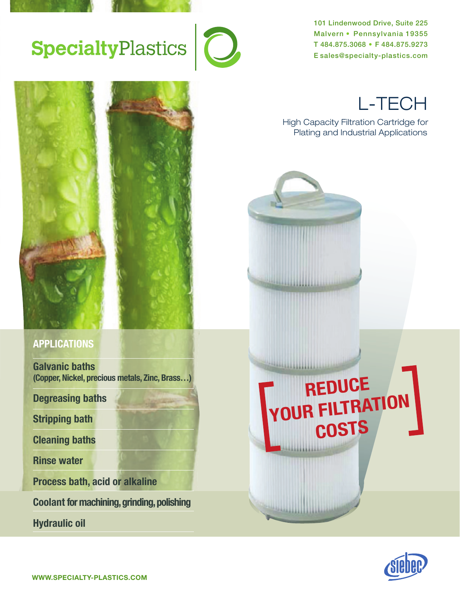

# SpecialtyPlastics<sup>1</sup>0

101 Lindenwood Drive, Suite 225 Malvern • Pennsylvania 19355 T 484.875.3068 • F 484.875.9273 E sales@specialty-plastics.com



### **APPLICATIONS**

**Galvanic baths (Copper, Nickel, precious metals, Zinc, Brass…)**

**Degreasing baths**

**Stripping bath**

**Cleaning baths**

**Rinse water**

**Process bath, acid or alkaline**

**Coolant for machining, grinding, polishing**

**Hydraulic oil**

L-TECH

High Capacity Filtration Cartridge for Plating and Industrial Applications



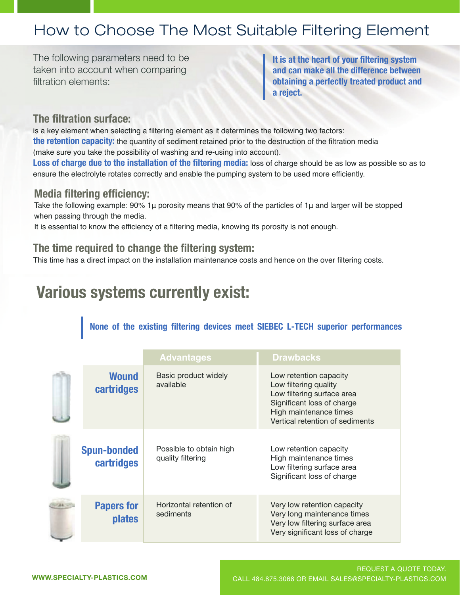#### **It is a the following system in the following parameters need to be seen to be a set of the following parameters** ale Filtering Flement **obtaining a perfectly treated product and**  tow to Choose The I filtration elements: How to Choose The Most Suitable Filtering Element

The following parameters need to be taken into account when comparing filtration elements: taken into account when comparing ne following param

The following parameters need to be

It is at the heart of your filtering system and can make all the difference between **obtaining a perfectly treated product and a reject. and can make all the difference between**  $\mathbf{r}$  a filtering a filtering a filtering a filtering element as it determines the following two factors:  $\mathbf{r}$ **the retention capacity:** the quantity of sediment retained prior to the destruction of the filtration media

#### The filtration surface: the contract of the contract of the contract of the contract of the contract of the contract of the contract of the contract of the contract of the contract of the contract of the contract of the co is a key element when selecting a filtering element as it determines the following two factors: (make sure you take the possibility of washing and re-using into account).

is a key element when selecting a filtering element as it determines the following two factors: the retention capacity: the quantity of sediment retained prior to the destruction of the filtration media (make sure you take the possibility of washing and re-using into account).

Loss of charge due to the installation of the filtering media: loss of charge should be as low as possible so as to ensure the electrolyte rotates correctly and enable the pumping system to be used more efficiently.

#### **Media filtering efficiency:** Take the following example: 90% 1μ porosity means that 90% of the particles of 1μ and larger will be stopped It is essential to know the efficiency of a filtering media, knowing its porosity is not enough.

Take the following example: 90% 1µ porosity means that 90% of the particles of 1µ and larger will be stopped when passing through the media. This time the installation maintenance costs and hence on the over filtering costs.

It is essential to know the efficiency of a filtering media, knowing its porosity is not enough.

#### **The time required to change the filtering system:** This time has a direct impact on the installation maintenance costs and hence on the over filtering costs.

This time has a direct impact on the installation maintenance costs and hence on the over filtering costs. **Various systems currently exist:**

# **Various systems currently exist:**

### **Various systems currently exist: None of the existing filtering devices meet SIEBEC L-TECH superior performances**

|                                    | <b>Advantages</b>                            | <b>Drawbacks</b>                                                                                                                                                         |
|------------------------------------|----------------------------------------------|--------------------------------------------------------------------------------------------------------------------------------------------------------------------------|
| <b>Wound</b><br>cartridges         | Basic product widely<br>available            | Low retention capacity<br>Low filtering quality<br>Low filtering surface area<br>Significant loss of charge<br>High maintenance times<br>Vertical retention of sediments |
| <b>Spun-bonded</b><br>cartridges   | Possible to obtain high<br>quality filtering | Low retention capacity<br>High maintenance times<br>Low filtering surface area<br>Significant loss of charge                                                             |
| <b>Papers for</b><br><b>plates</b> | Horizontal retention of<br>sediments         | Very low retention capacity<br>Very long maintenance times<br>Very low filtering surface area<br>Very significant loss of charge                                         |

Very long maintenance times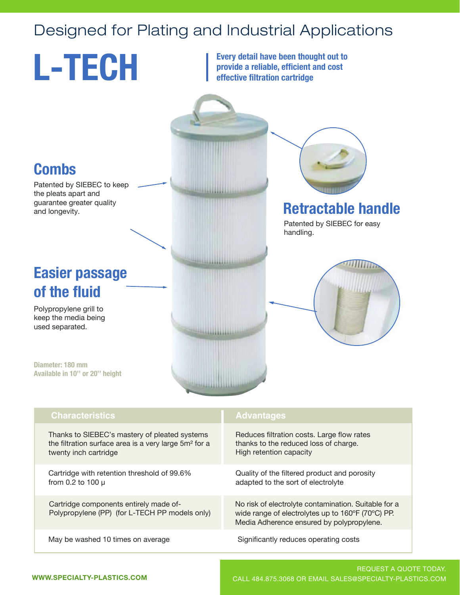## Designed for Plating and Industrial Applications



Thanks to SIEBEC's mastery of pleated systems Thanks to SIEBEC's mastery of pleated systems the filtration surface area is a very large 5m² for a the filtration surface area is a very large 5m² for a twenty inch cartridge twenty inch cartridge

Cartridge with retention threshold of 99.6% Cartridge with retention threshold of 99.6% from 0.2 to 100 µ from 0.2 to 100 µ

Cartridge components entirely made of-Cartridge components entirely made of-Polypropylene (PP) (for L-TECH PP models only) Polypropylene (PP) (for L-TECH PP models only)

May be washed 10 times on average

Reduces filtration costs. Large flow rates Reduces filtration costs. Large flow rates thanks to the reduced loss of charge. thanks to the reduced loss of charge. High retention capacity High retention capacity

Quality of the filtered product and porosity Quality of the filtered product and porosity adapted to the sort of electrolyte adapted to the sort of electrolyte

No risk of electrolyte contamination. Suitable for a wide range of electrolytes up to 160ºF (70ºC) PP. Media Adherence ensured by polypropylene.

Significantly reduces operating costs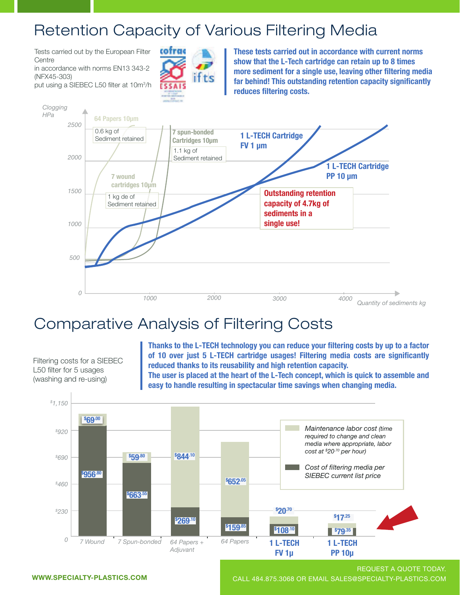### Retention Capacity of Various Filtering Media

Tests carried out by the European Filter Tests carried out by the European Filter Centre Centre

in accordance with norms EN13 343-2 in accordance with norms EN13 343-2 (NFX45-303) (NFX45-303)

put using a SIEBEC L50 filter at 10m<sup>3</sup> /h put using a SIEBEC L50 filter at 10m<sup>3</sup> /h



**These tests carried out in accordance with current norms These tests carried out in accordance with current norms show that the L-Tech cartridge can retain up to 8 times show that the L-Tech cartridge can retain up to 8 times more sediment for a single use, leaving other filtering media more sediment for a single use, leaving other filtering media far behind! This outstanding retention capacity significantly far behind! This outstanding retention capacity significantly reduces filtering costs. reduces filtering costs.**



# Comparative Analysis of Filtering Costs

Filtering costs for a SIEBEC L50 filter for 5 usages Loo liiter for 5 usages (washing and re-using) (washing and re-using) Filtering costs for a SIEBEC

**Thanks to the L-TECH technology you can reduce your filtering costs by up to a factor of 10 over just 5 L-TECH cartridge usages! Filtering media costs are significantly of 10 over just 5 L-TECH cartridge usages! Filtering media costs are significantly reduced thanks to its reusability and high retention capacity. The user is placed at the heart of the L-Tech concept, which is quick to assemble and The user is placed at the heart of the L-Tech concept, which is quick to assemble and easy to handle resulting in spectacular time savings when changing media. easy to handle resulting in spectacular time savings when changing media. Thanks to the L-TECH technology you can reduce your filtering costs by up to a factor reduced thanks to its reusability and high retention capacity.**



REQUEST A QUOTE TODAY. WWW.SPECIALTY-PLASTICS.COM CALL 484.875.3068 OR EMAIL SALES@SPECIALTY-PLASTICS.COM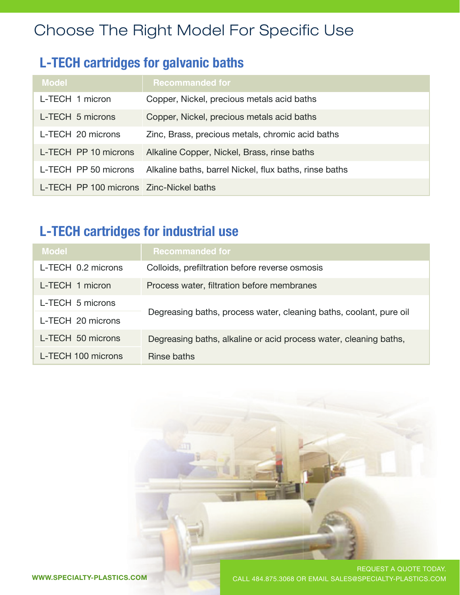# Choose The Right Model For Specific Use

### **L-TECH cartridges for galvanic baths**

| <b>Model</b>                            | <b>Recommanded for</b>                                 |
|-----------------------------------------|--------------------------------------------------------|
| L-TECH 1 micron                         | Copper, Nickel, precious metals acid baths             |
| L-TECH 5 microns                        | Copper, Nickel, precious metals acid baths             |
| L-TECH 20 microns                       | Zinc, Brass, precious metals, chromic acid baths       |
| L-TECH PP 10 microns                    | Alkaline Copper, Nickel, Brass, rinse baths            |
| L-TECH PP 50 microns                    | Alkaline baths, barrel Nickel, flux baths, rinse baths |
| L-TECH PP 100 microns Zinc-Nickel baths |                                                        |

### **L-TECH cartridges for industrial use**

| <b>Model</b>       | <b>Recommanded for</b>                                             |  |
|--------------------|--------------------------------------------------------------------|--|
| L-TECH 0.2 microns | Colloids, prefiltration before reverse osmosis                     |  |
| L-TECH 1 micron    | Process water, filtration before membranes                         |  |
| L-TECH 5 microns   | Degreasing baths, process water, cleaning baths, coolant, pure oil |  |
| L-TECH 20 microns  |                                                                    |  |
| L-TECH 50 microns  | Degreasing baths, alkaline or acid process water, cleaning baths,  |  |
| L-TECH 100 microns | Rinse baths                                                        |  |